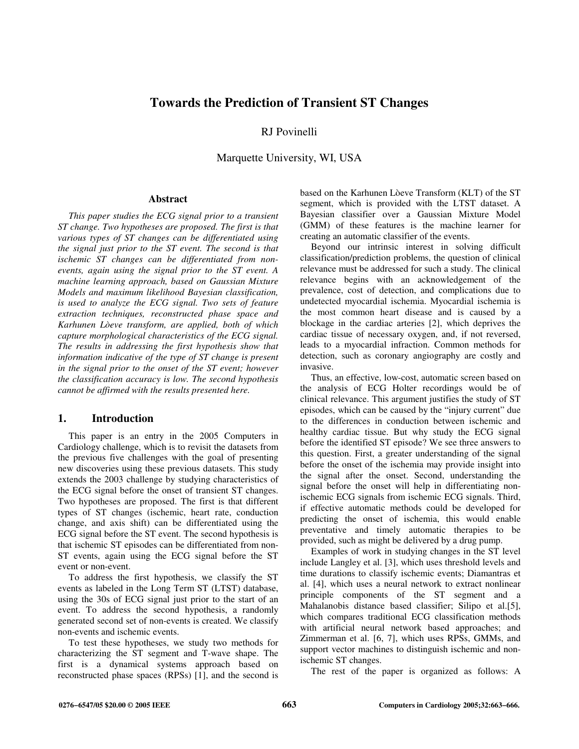# **Towards the Prediction of Transient ST Changes**

RJ Povinelli

Marquette University, WI, USA

#### **Abstract**

*This paper studies the ECG signal prior to a transient ST change. Two hypotheses are proposed. The first is that various types of ST changes can be differentiated using the signal just prior to the ST event. The second is that ischemic ST changes can be differentiated from nonevents, again using the signal prior to the ST event. A machine learning approach, based on Gaussian Mixture Models and maximum likelihood Bayesian classification, is used to analyze the ECG signal. Two sets of feature extraction techniques, reconstructed phase space and Karhunen Lòeve transform, are applied, both of which capture morphological characteristics of the ECG signal. The results in addressing the first hypothesis show that information indicative of the type of ST change is present in the signal prior to the onset of the ST event; however the classification accuracy is low. The second hypothesis cannot be affirmed with the results presented here.*

# **1. Introduction**

This paper is an entry in the 2005 Computers in Cardiology challenge, which is to revisit the datasets from the previous five challenges with the goal of presenting new discoveries using these previous datasets. This study extends the 2003 challenge by studying characteristics of the ECG signal before the onset of transient ST changes. Two hypotheses are proposed. The first is that different types of ST changes (ischemic, heart rate, conduction change, and axis shift) can be differentiated using the ECG signal before the ST event. The second hypothesis is that ischemic ST episodes can be differentiated from non-ST events, again using the ECG signal before the ST event or non-event.

To address the first hypothesis, we classify the ST events as labeled in the Long Term ST (LTST) database, using the 30s of ECG signal just prior to the start of an event. To address the second hypothesis, a randomly generated second set of non-events is created. We classify non-events and ischemic events.

To test these hypotheses, we study two methods for characterizing the ST segment and T-wave shape. The first is a dynamical systems approach based on reconstructed phase spaces (RPSs) [1], and the second is

based on the Karhunen Lòeve Transform (KLT) of the ST segment, which is provided with the LTST dataset. A Bayesian classifier over a Gaussian Mixture Model (GMM) of these features is the machine learner for creating an automatic classifier of the events.

Beyond our intrinsic interest in solving difficult classification/prediction problems, the question of clinical relevance must be addressed for such a study. The clinical relevance begins with an acknowledgement of the prevalence, cost of detection, and complications due to undetected myocardial ischemia. Myocardial ischemia is the most common heart disease and is caused by a blockage in the cardiac arteries [2], which deprives the cardiac tissue of necessary oxygen, and, if not reversed, leads to a myocardial infraction. Common methods for detection, such as coronary angiography are costly and invasive.

Thus, an effective, low-cost, automatic screen based on the analysis of ECG Holter recordings would be of clinical relevance. This argument justifies the study of ST episodes, which can be caused by the "injury current" due to the differences in conduction between ischemic and healthy cardiac tissue. But why study the ECG signal before the identified ST episode? We see three answers to this question. First, a greater understanding of the signal before the onset of the ischemia may provide insight into the signal after the onset. Second, understanding the signal before the onset will help in differentiating nonischemic ECG signals from ischemic ECG signals. Third, if effective automatic methods could be developed for predicting the onset of ischemia, this would enable preventative and timely automatic therapies to be provided, such as might be delivered by a drug pump.

Examples of work in studying changes in the ST level include Langley et al. [3], which uses threshold levels and time durations to classify ischemic events; Diamantras et al. [4], which uses a neural network to extract nonlinear principle components of the ST segment and a Mahalanobis distance based classifier; Silipo et al.[5], which compares traditional ECG classification methods with artificial neural network based approaches; and Zimmerman et al. [6, 7], which uses RPSs, GMMs, and support vector machines to distinguish ischemic and nonischemic ST changes.

The rest of the paper is organized as follows: A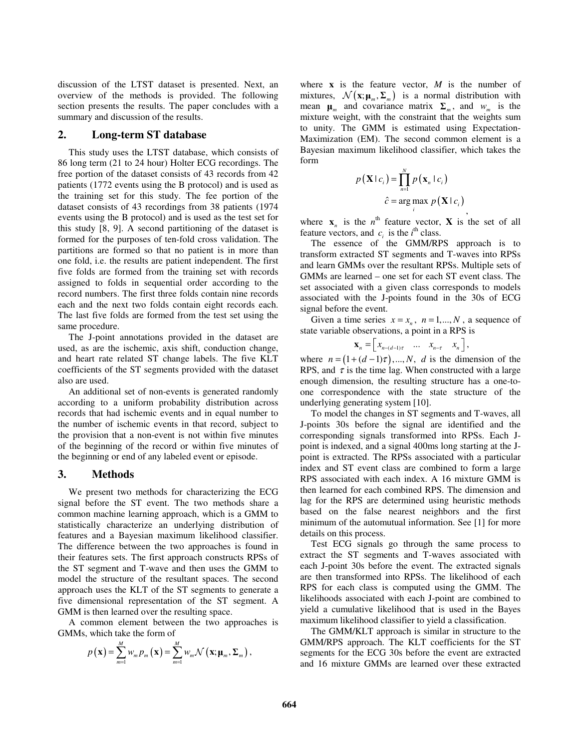discussion of the LTST dataset is presented. Next, an overview of the methods is provided. The following section presents the results. The paper concludes with a summary and discussion of the results.

# **2. Long-term ST database**

This study uses the LTST database, which consists of 86 long term (21 to 24 hour) Holter ECG recordings. The free portion of the dataset consists of 43 records from 42 patients (1772 events using the B protocol) and is used as the training set for this study. The fee portion of the dataset consists of 43 recordings from 38 patients (1974 events using the B protocol) and is used as the test set for this study [8, 9]. A second partitioning of the dataset is formed for the purposes of ten-fold cross validation. The partitions are formed so that no patient is in more than one fold, i.e. the results are patient independent. The first five folds are formed from the training set with records assigned to folds in sequential order according to the record numbers. The first three folds contain nine records each and the next two folds contain eight records each. The last five folds are formed from the test set using the same procedure.

The J-point annotations provided in the dataset are used, as are the ischemic, axis shift, conduction change, and heart rate related ST change labels. The five KLT coefficients of the ST segments provided with the dataset also are used.

An additional set of non-events is generated randomly according to a uniform probability distribution across records that had ischemic events and in equal number to the number of ischemic events in that record, subject to the provision that a non-event is not within five minutes of the beginning of the record or within five minutes of the beginning or end of any labeled event or episode.

### **3. Methods**

We present two methods for characterizing the ECG signal before the ST event. The two methods share a common machine learning approach, which is a GMM to statistically characterize an underlying distribution of features and a Bayesian maximum likelihood classifier. The difference between the two approaches is found in their features sets. The first approach constructs RPSs of the ST segment and T-wave and then uses the GMM to model the structure of the resultant spaces. The second approach uses the KLT of the ST segments to generate a five dimensional representation of the ST segment. A GMM is then learned over the resulting space.

A common element between the two approaches is GMMs, which take the form of

$$
p(\mathbf{x}) = \sum_{m=1}^{M} w_m p_m(\mathbf{x}) = \sum_{m=1}^{M} w_m \mathcal{N}(\mathbf{x}; \mathbf{\mu}_m, \mathbf{\Sigma}_m),
$$

where **x** is the feature vector, *M* is the number of mixtures,  $\mathcal{N}(\mathbf{x}; \mathbf{\mu}_m, \mathbf{\Sigma}_m)$  is a normal distribution with mean  $\mu_m$  and covariance matrix  $\Sigma_m$ , and  $w_m$  is the mixture weight, with the constraint that the weights sum to unity. The GMM is estimated using Expectation-Maximization (EM). The second common element is a Bayesian maximum likelihood classifier, which takes the form

$$
p(\mathbf{X} | c_i) = \prod_{n=1}^{N} p(\mathbf{x}_n | c_i)
$$

$$
\hat{c} = \arg \max_{i} p(\mathbf{X} | c_i)
$$

,

where  $\mathbf{x}_n$  is the *n*<sup>th</sup> feature vector, **X** is the set of all feature vectors, and  $c_i$  is the *i*<sup>th</sup> class.

The essence of the GMM/RPS approach is to transform extracted ST segments and T-waves into RPSs and learn GMMs over the resultant RPSs. Multiple sets of GMMs are learned – one set for each ST event class. The set associated with a given class corresponds to models associated with the J-points found in the 30s of ECG signal before the event.

Given a time series  $x = x_n$ ,  $n = 1,..., N$ , a sequence of state variable observations, a point in a RPS is

$$
\mathbf{x}_n = \begin{bmatrix} x_{n-(d-1)\tau} & \dots & x_{n-\tau} & x_n \end{bmatrix},
$$

where  $n = (1 + (d-1)\tau),..., N, d$  is the dimension of the RPS, and  $\tau$  is the time lag. When constructed with a large enough dimension, the resulting structure has a one-toone correspondence with the state structure of the underlying generating system [10].

To model the changes in ST segments and T-waves, all J-points 30s before the signal are identified and the corresponding signals transformed into RPSs. Each Jpoint is indexed, and a signal 400ms long starting at the Jpoint is extracted. The RPSs associated with a particular index and ST event class are combined to form a large RPS associated with each index. A 16 mixture GMM is then learned for each combined RPS. The dimension and lag for the RPS are determined using heuristic methods based on the false nearest neighbors and the first minimum of the automutual information. See [1] for more details on this process.

Test ECG signals go through the same process to extract the ST segments and T-waves associated with each J-point 30s before the event. The extracted signals are then transformed into RPSs. The likelihood of each RPS for each class is computed using the GMM. The likelihoods associated with each J-point are combined to yield a cumulative likelihood that is used in the Bayes maximum likelihood classifier to yield a classification.

The GMM/KLT approach is similar in structure to the GMM/RPS approach. The KLT coefficients for the ST segments for the ECG 30s before the event are extracted and 16 mixture GMMs are learned over these extracted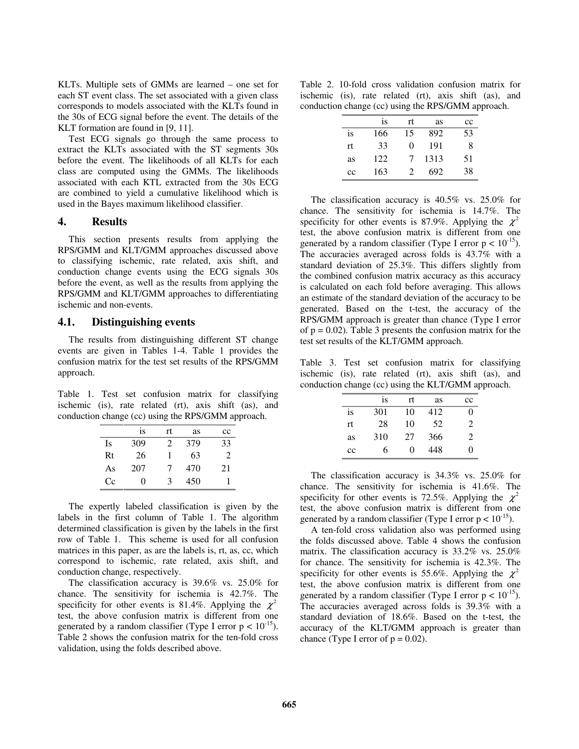KLTs. Multiple sets of GMMs are learned – one set for each ST event class. The set associated with a given class corresponds to models associated with the KLTs found in the 30s of ECG signal before the event. The details of the KLT formation are found in [9, 11].

Test ECG signals go through the same process to extract the KLTs associated with the ST segments 30s before the event. The likelihoods of all KLTs for each class are computed using the GMMs. The likelihoods associated with each KTL extracted from the 30s ECG are combined to yield a cumulative likelihood which is used in the Bayes maximum likelihood classifier.

## **4. Results**

This section presents results from applying the RPS/GMM and KLT/GMM approaches discussed above to classifying ischemic, rate related, axis shift, and conduction change events using the ECG signals 30s before the event, as well as the results from applying the RPS/GMM and KLT/GMM approaches to differentiating ischemic and non-events.

# **4.1. Distinguishing events**

The results from distinguishing different ST change events are given in Tables 1-4. Table 1 provides the confusion matrix for the test set results of the RPS/GMM approach.

Table 1. Test set confusion matrix for classifying ischemic (is), rate related (rt), axis shift (as), and conduction change (cc) using the RPS/GMM approach.

|    | is       | rt | as  | cc |
|----|----------|----|-----|----|
| Is | 309      | 2  | 379 | 33 |
| Rt | 26       |    | 63  | 2  |
| As | 207      |    | 470 | 21 |
| Cc | $^{(1)}$ | 3  | 450 |    |

The expertly labeled classification is given by the labels in the first column of Table 1. The algorithm determined classification is given by the labels in the first row of Table 1. This scheme is used for all confusion matrices in this paper, as are the labels is, rt, as, cc, which correspond to ischemic, rate related, axis shift, and conduction change, respectively.

The classification accuracy is 39.6% vs. 25.0% for chance. The sensitivity for ischemia is 42.7%. The specificity for other events is 81.4%. Applying the  $\chi^2$ test, the above confusion matrix is different from one generated by a random classifier (Type I error  $p < 10^{-15}$ ). Table 2 shows the confusion matrix for the ten-fold cross validation, using the folds described above.

Table 2. 10-fold cross validation confusion matrix for ischemic (is), rate related (rt), axis shift (as), and conduction change (cc) using the RPS/GMM approach.

|           | İS. | rt                | as   | cc |
|-----------|-----|-------------------|------|----|
| is        | 166 | 15                | 892  | 53 |
| rt        | 33  | $\mathbf{\Omega}$ | 191  | 8  |
| <b>as</b> | 122 |                   | 1313 | 51 |
| cc        | 163 | $\mathcal{L}$     | 692  | 38 |

The classification accuracy is 40.5% vs. 25.0% for chance. The sensitivity for ischemia is 14.7%. The specificity for other events is 87.9%. Applying the  $\chi^2$ test, the above confusion matrix is different from one generated by a random classifier (Type I error  $p < 10^{-15}$ ). The accuracies averaged across folds is 43.7% with a standard deviation of 25.3%. This differs slightly from the combined confusion matrix accuracy as this accuracy is calculated on each fold before averaging. This allows an estimate of the standard deviation of the accuracy to be generated. Based on the t-test, the accuracy of the RPS/GMM approach is greater than chance (Type I error of  $p = 0.02$ ). Table 3 presents the confusion matrix for the test set results of the KLT/GMM approach.

Table 3. Test set confusion matrix for classifying ischemic (is), rate related (rt), axis shift (as), and conduction change (cc) using the KLT/GMM approach.

|    | İS  | rt                | as  | $_{\rm cc}$           |
|----|-----|-------------------|-----|-----------------------|
| is | 301 | 10                | 412 | 0                     |
| rt | 28  | 10                | 52  | $\mathcal{D}_{\cdot}$ |
| as | 310 | 27                | 366 | $\mathcal{D}_{\cdot}$ |
| cc | 6   | $\mathbf{\Omega}$ | 448 | 0                     |

The classification accuracy is 34.3% vs. 25.0% for chance. The sensitivity for ischemia is 41.6%. The specificity for other events is 72.5%. Applying the  $\chi^2$ test, the above confusion matrix is different from one generated by a random classifier (Type I error  $p < 10^{-15}$ ).

A ten-fold cross validation also was performed using the folds discussed above. Table 4 shows the confusion matrix. The classification accuracy is 33.2% vs. 25.0% for chance. The sensitivity for ischemia is 42.3%. The specificity for other events is 55.6%. Applying the  $\chi^2$ test, the above confusion matrix is different from one generated by a random classifier (Type I error  $p < 10^{-15}$ ). The accuracies averaged across folds is 39.3% with a standard deviation of 18.6%. Based on the t-test, the accuracy of the KLT/GMM approach is greater than chance (Type I error of  $p = 0.02$ ).